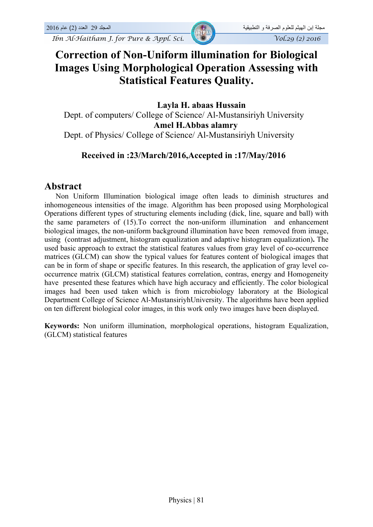*Ibn Al-Haitham J. for Pure & Appl. Sci.* Vol.29 (2) 2016



# **Correction of Non-Uniform illumination for Biological Images Using Morphological Operation Assessing with Statistical Features Quality.**

**Layla H. abaas Hussain**  Dept. of computers/ College of Science/ Al-Mustansiriyh University  **Amel H.Abbas alamry** Dept. of Physics/ College of Science/ Al-Mustansiriyh University

#### **Received in :23/March/2016,Accepted in :17/May/2016**

#### **Abstract**

 Non Uniform Illumination biological image often leads to diminish structures and inhomogeneous intensities of the image. Algorithm has been proposed using Morphological Operations different types of structuring elements including (dick, line, square and ball) with the same parameters of (15).To correct the non-uniform illumination and enhancement biological images, the non-uniform background illumination have been removed from image, using (contrast adjustment, histogram equalization and adaptive histogram equalization)**.** The used basic approach to extract the statistical features values from gray level of co-occurrence matrices (GLCM) can show the typical values for features content of biological images that can be in form of shape or specific features. In this research, the application of gray level cooccurrence matrix (GLCM) statistical features correlation, contras, energy and Homogeneity have presented these features which have high accuracy and efficiently. The color biological images had been used taken which is from microbiology laboratory at the Biological Department College of Science Al-MustansiriyhUniversity. The algorithms have been applied on ten different biological color images, in this work only two images have been displayed.

**Keywords:** Non uniform illumination, morphological operations, histogram Equalization, (GLCM) statistical features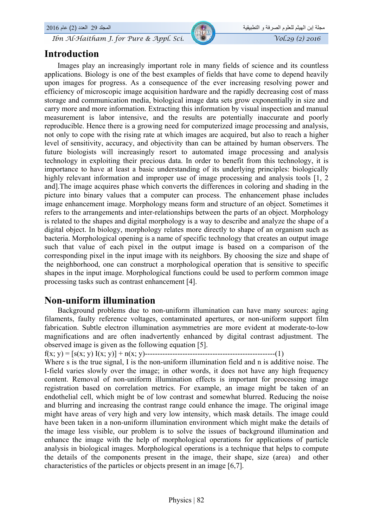*Ibn Al-Haitham J. for Pure & Appl. Sci.* Vol.29 (2) 2016

### **Introduction**

مجلة إبن الهيثم للعلوم الصرفة و التطبيقية المجلد 29 العدد (2) عام 2016

 Images play an increasingly important role in many fields of science and its countless applications. Biology is one of the best examples of fields that have come to depend heavily upon images for progress. As a consequence of the ever increasing resolving power and efficiency of microscopic image acquisition hardware and the rapidly decreasing cost of mass storage and communication media, biological image data sets grow exponentially in size and carry more and more information. Extracting this information by visual inspection and manual measurement is labor intensive, and the results are potentially inaccurate and poorly reproducible. Hence there is a growing need for computerized image processing and analysis, not only to cope with the rising rate at which images are acquired, but also to reach a higher level of sensitivity, accuracy, and objectivity than can be attained by human observers. The future biologists will increasingly resort to automated image processing and analysis technology in exploiting their precious data. In order to benefit from this technology, it is importance to have at least a basic understanding of its underlying principles: biologically highly relevant information and improper use of image processing and analysis tools [1, 2] and].The image acquires phase which converts the differences in coloring and shading in the picture into binary values that a computer can process. The enhancement phase includes image enhancement image. Morphology means form and structure of an object. Sometimes it refers to the arrangements and inter-relationships between the parts of an object. Morphology is related to the shapes and digital morphology is a way to describe and analyze the shape of a digital object. In biology, morphology relates more directly to shape of an organism such as bacteria. Morphological opening is a name of specific technology that creates an output image such that value of each pixel in the output image is based on a comparison of the corresponding pixel in the input image with its neighbors. By choosing the size and shape of the neighborhood, one can construct a morphological operation that is sensitive to specific shapes in the input image. Morphological functions could be used to perform common image processing tasks such as contrast enhancement [4].

#### **Non-uniform illumination**

 Background problems due to non-uniform illumination can have many sources: aging filaments, faulty reference voltages, contaminated apertures, or non-uniform support film fabrication. Subtle electron illumination asymmetries are more evident at moderate-to-low magnifications and are often inadvertently enhanced by digital contrast adjustment. The observed image is given as the following equation [5].

```
f(x; y) = [s(x; y) I(x; y)] + n(x; y)----------------------------------------------------(1)
```
Where s is the true signal, I is the non-uniform illumination field and n is additive noise. The I-field varies slowly over the image; in other words, it does not have any high frequency content. Removal of non-uniform illumination effects is important for processing image registration based on correlation metrics. For example, an image might be taken of an endothelial cell, which might be of low contrast and somewhat blurred. Reducing the noise and blurring and increasing the contrast range could enhance the image. The original image might have areas of very high and very low intensity, which mask details. The image could have been taken in a non-uniform illumination environment which might make the details of the image less visible, our problem is to solve the issues of background illumination and enhance the image with the help of morphological operations for applications of particle analysis in biological images. Morphological operations is a technique that helps to compute the details of the components present in the image, their shape, size (area) and other characteristics of the particles or objects present in an image [6,7].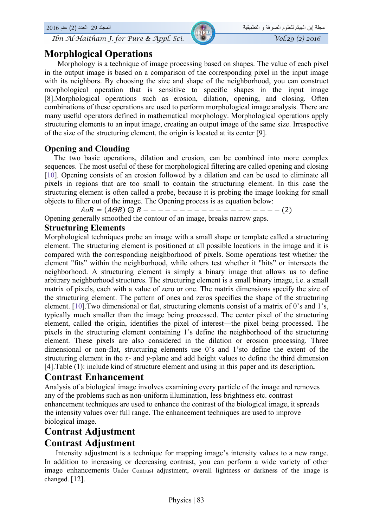

# **Morphlogical Operations**

 Morphology is a technique of image processing based on shapes. The value of each pixel in the output image is based on a comparison of the corresponding pixel in the input image with its neighbors. By choosing the size and shape of the neighborhood, you can construct morphological operation that is sensitive to specific shapes in the input image [8].Morphological operations such as erosion, dilation, opening, and closing. Often combinations of these operations are used to perform morphological image analysis. There are many useful operators defined in mathematical morphology. Morphological operations apply structuring elements to an input image, creating an output image of the same size. Irrespective of the size of the structuring element, the origin is located at its center [9].

#### **Opening and Clouding**

 The two basic operations, dilation and erosion, can be combined into more complex sequences. The most useful of these for morphological filtering are called opening and closing [10]. Opening consists of an erosion followed by a dilation and can be used to eliminate all pixels in regions that are too small to contain the structuring element. In this case the structuring element is often called a probe, because it is probing the image looking for small objects to filter out of the image. The Opening process is as equation below:

 $A \circ B = (A \circ B) \oplus B - - - - - - - - - - - - - - - - - - - (2)$ Opening generally smoothed the contour of an image, breaks narrow gaps.

#### **Structuring Elements**

Morphological techniques probe an image with a small shape or template called a structuring element. The structuring element is positioned at all possible locations in the image and it is compared with the corresponding neighborhood of pixels. Some operations test whether the element "fits" within the neighborhood, while others test whether it "hits" or intersects the neighborhood. A structuring element is simply a binary image that allows us to define arbitrary neighborhood structures. The structuring element is a small binary image, i.e. a small matrix of pixels, each with a value of zero or one. The matrix dimensions specify the size of the structuring element. The pattern of ones and zeros specifies the shape of the structuring element. [10].Two dimensional or flat, structuring elements consist of a matrix of 0's and 1's, typically much smaller than the image being processed. The center pixel of the structuring element, called the origin, identifies the pixel of interest—the pixel being processed. The pixels in the structuring element containing 1's define the neighborhood of the structuring element. These pixels are also considered in the dilation or erosion processing. Three dimensional or non-flat, structuring elements use 0's and 1'sto define the extent of the structuring element in the *x*- and *y*-plane and add height values to define the third dimension [4].Table (1): include kind of structure element and using in this paper and its description**.** 

#### **Contrast Enhancement**

Analysis of a biological image involves examining every particle of the image and removes any of the problems such as non-uniform illumination, less brightness etc. contrast enhancement techniques are used to enhance the contrast of the biological image, it spreads the intensity values over full range. The enhancement techniques are used to improve biological image.

# **Contrast Adjustment Contrast Adjustment**

 Intensity adjustment is a technique for mapping image's intensity values to a new range. In addition to increasing or decreasing contrast, you can perform a wide variety of other image enhancements Under Contrast adjustment, overall lightness or darkness of the image is changed. [12].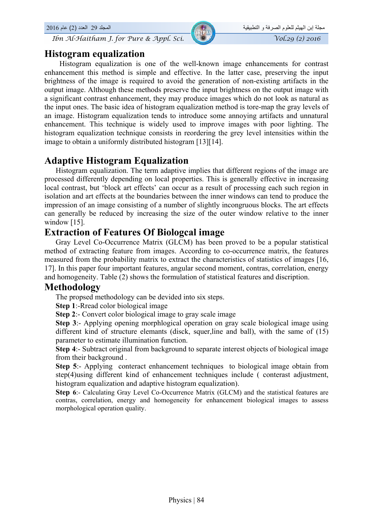*Ibn Al-Haitham J. for Pure & Appl. Sci.*  $\sqrt{V_0(29)(2)}$  2016

### **Histogram equalization**

 Histogram equalization is one of the well-known image enhancements for contrast enhancement this method is simple and effective. In the latter case, preserving the input brightness of the image is required to avoid the generation of non-existing artifacts in the output image. Although these methods preserve the input brightness on the output image with a significant contrast enhancement, they may produce images which do not look as natural as the input ones. The basic idea of histogram equalization method is tore-map the gray levels of an image. Histogram equalization tends to introduce some annoying artifacts and unnatural enhancement. This technique is widely used to improve images with poor lighting. The histogram equalization technique consists in reordering the grey level intensities within the image to obtain a uniformly distributed histogram [13][14].

# **Adaptive Histogram Equalization**

 Histogram equalization. The term adaptive implies that different regions of the image are processed differently depending on local properties. This is generally effective in increasing local contrast, but 'block art effects' can occur as a result of processing each such region in isolation and art effects at the boundaries between the inner windows can tend to produce the impression of an image consisting of a number of slightly incongruous blocks. The art effects can generally be reduced by increasing the size of the outer window relative to the inner window [15].

### **Extraction of Features Of Biologcal image**

Gray Level Co-Occurrence Matrix (GLCM) has been proved to be a popular statistical method of extracting feature from images. According to co-occurrence matrix, the features measured from the probability matrix to extract the characteristics of statistics of images [16, 17]. In this paper four important features, angular second moment, contras, correlation, energy and homogeneity. Table (2) shows the formulation of statistical features and discription.

#### **Methodology**

The propsed methodology can be devided into six steps.

**Step 1**:-Rread color biological image

**Step 2**:- Convert color biological image to gray scale image

**Step 3**:- Applying opening morphlogical operation on gray scale biological image using different kind of structure elemants (disck, squer,line and ball), with the same of (15) parameter to estimate illumination function.

**Step 4**:- Subtract original from background to separate interest objects of biological image from their background .

**Step 5**:- Applying conteract enhancement techniques to biological image obtain from step(4)using different kind of enhancement techniques include ( conterast adjustment, histogram equalization and adaptive histogram equalization).

**Step 6**:- Calculating Gray Level Co-Occurrence Matrix (GLCM) and the statistical features are contras, correlation, energy and homogeneity for enhancement biological images to assess morphological operation quality.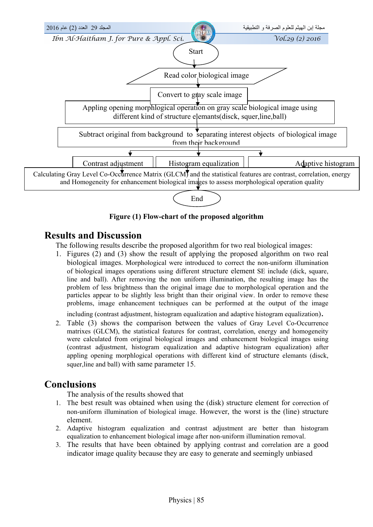

**Figure (1) Flow-chart of the proposed algorithm** 

### **Results and Discussion**

The following results describe the proposed algorithm for two real biological images:

1. Figures (2) and (3) show the result of applying the proposed algorithm on two real biological images. Morphological were introduced to correct the non-uniform illumination of biological images operations using different structure element SE include (dick, square, line and ball). After removing the non uniform illumination, the resulting image has the problem of less brightness than the original image due to morphological operation and the particles appear to be slightly less bright than their original view. In order to remove these problems, image enhancement techniques can be performed at the output of the image

including (contrast adjustment, histogram equalization and adaptive histogram equalization).

2. Table (3) shows the comparison between the values of Gray Level Co-Occurrence matrixes (GLCM), the statistical features for contrast, correlation, energy and homogeneity were calculated from original biological images and enhancement biological images using (contrast adjustment, histogram equalization and adaptive histogram equalization) after appling opening morphlogical operations with different kind of structure elemants (disck, squer,line and ball) with same parameter 15.

# **Conclusions**

The analysis of the results showed that

- 1. The best result was obtained when using the (disk) structure element for correction of non-uniform illumination of biological image. However, the worst is the (line) structure element.
- 2. Adaptive histogram equalization and contrast adjustment are better than histogram equalization to enhancement biological image after non-uniform illumination removal.
- 3. The results that have been obtained by applying contrast and correlation are a good indicator image quality because they are easy to generate and seemingly unbiased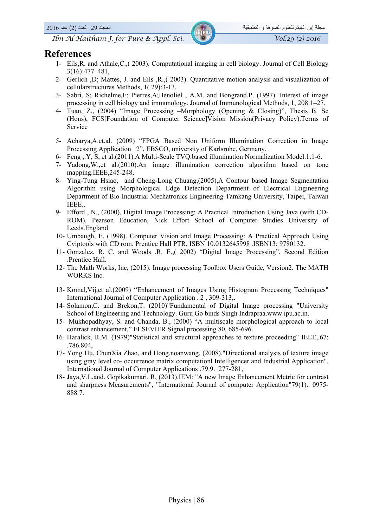#### **References**

- 1- Eils,R. and Athale,C.,( 2003). Computational imaging in cell biology. Journal of Cell Biology 3(16):477–481,
- 2- Gerlich ,D; Mattes, J. and Eils ,R.,( 2003). Quantitative motion analysis and visualization of cellularstructures Methods, 1( 29):3-13.
- 3- Sabri, S; Richelme,F; Pierres,A;Benoliel , A.M. and Bongrand,P. (1997). Interest of image processing in cell biology and immunology. Journal of Immunological Methods, 1, 208:1–27.
- 4- Tuan, Z., (2004) "Image Processing –Morphology (Opening & Closing)", Thesis B. Sc (Hons), FCS[Foundation of Computer Science]Vision Mission(Privacy Policy).Terms of Service
- 5- Acharya,A.et.al. (2009) "FPGA Based Non Uniform Illumination Correction in Image Processing Application 2", EBSCO, university of Karlsruhe, Germany.
- 6- Feng ,.Y, S, et al.(2011).A Multi-Scale TVQ.based illumination Normalization Model.1:1-6.
- 7- Yadong,W.,et al.(2010).An image illumination correction algorithm based on tone mapping.IEEE,245-248,
- 8- Ying-Tung Hsiao, and Cheng-Long Chuang,(2005),A Contour based Image Segmentation Algorithm using Morphological Edge Detection Department of Electrical Engineering Department of Bio-Industrial Mechatronics Engineering Tamkang University, Taipei, Taiwan IEEE..
- 9- Efford , N., (2000), Digital Image Processing: A Practical Introduction Using Java (with CD-ROM). Pearson Education, Nick Effort School of Computer Studies University of Leeds.England.
- 10- Umbaugh, E. (1998). Computer Vision and Image Processing: A Practical Approach Using Cviptools with CD rom. Prentice Hall PTR, ISBN 10.0132645998 .ISBN13: 9780132.
- 11- Gonzalez, R. C. and Woods .R. E.,( 2002) "Digital Image Processing", Second Edition .Prentice Hall.
- 12- The Math Works, Inc, (2015). Image processing Toolbox Users Guide, Version2. The MATH WORKS Inc.
- 13- Komal,Vij,et al.(2009) "Enhancement of Images Using Histogram Processing Techniques" International Journal of Computer Application . 2 , 309-313,.
- 14- Solamon,C. and Brekon,T. (2010)"Fundamental of Digital Image processing "**U**niversity School of Engineering and Technology. Guru Go binds Singh Indrapraa.www.ipu.ac.in.
- 15- Mukhopadhyay, S. and Chanda, B., (2000) "A multiscale morphological approach to local contrast enhancement," ELSEVIER Signal processing 80, 685-696.
- 16- Haralick, R.M. (1979)"Statistical and structural approaches to texture proceeding" IEEE,.67: .786.804,
- 17- Yong Hu, ChunXia Zhao, and Hong.noanwang. (2008)."Directional analysis of texture image using gray level co- occurrence matrix computationl Intelligencer and Industrial Application", International Journal of Computer Applications .79.9. 277-281,
- 18- Jaya,V.L,and. Gopikakumari. R, (2013).IEM: "A new Image Enhancement Metric for contrast and sharpness Measurements", "International Journal of computer Application"79(1).. 0975- 888 7.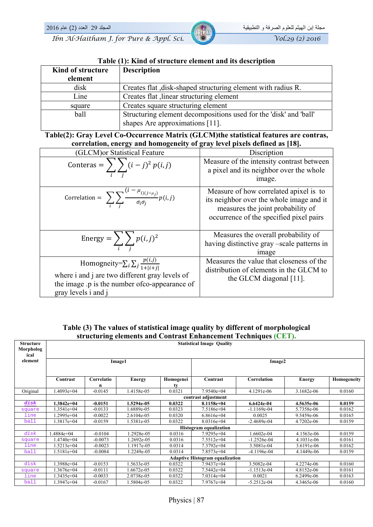

#### **Table (1): Kind of structure element and its description**

| Kind of structure | <b>Description</b>                                                |  |  |  |  |
|-------------------|-------------------------------------------------------------------|--|--|--|--|
| element           |                                                                   |  |  |  |  |
| disk              | Creates flat, disk-shaped structuring element with radius R.      |  |  |  |  |
| Line              | Creates flat , linear structuring element                         |  |  |  |  |
| square            | Creates square structuring element                                |  |  |  |  |
| ball              | Structuring element decompositions used for the 'disk' and 'ball' |  |  |  |  |
|                   | shapes Are approximations [11].                                   |  |  |  |  |

#### **Table(2): Gray Level Co-Occurrence Matrix (GLCM)the statistical features are contras, correlation, energy and homogeneity of gray level pixels defined as [18].**

| (GLCM) or Statistical Feature                                                                                                                                                | Discription                                                                                                                                                        |  |  |
|------------------------------------------------------------------------------------------------------------------------------------------------------------------------------|--------------------------------------------------------------------------------------------------------------------------------------------------------------------|--|--|
| Conteras = $\sum_{i} \sum_{i} (i-j)^2 p(i,j)$                                                                                                                                | Measure of the intensity contrast between<br>a pixel and its neighbor over the whole<br>image.                                                                     |  |  |
| Correlation = $\sum_i \sum_j \frac{(1 - \mu_{i)(j - \mu_j)}}{\sigma_i \sigma_j} p(i, j)$                                                                                     | Measure of how correlated apixel is to<br>its neighbor over the whole image and it<br>measures the joint probability of<br>occurrence of the specified pixel pairs |  |  |
| Energy = $\sum \sum p(i,j)^2$                                                                                                                                                | Measures the overall probability of<br>having distinctive gray -scale patterns in<br><i>image</i>                                                                  |  |  |
| Homogneity= $\sum_i \sum_j \frac{p(i,j)}{1+ i+i }$<br>where i and j are two different gray levels of<br>the image p is the number of co-appearance of<br>gray levels i and j | Measures the value that closeness of the<br>distribution of elements in the GLCM to<br>the GLCM diagonal $[11]$ .                                                  |  |  |

#### **Table (3) The values of statistical image quality by different of morphological structuring elements and Contrast Enhancement Techniques (CET).**

| <b>Structure</b><br>Morpholog<br>ical | <b>Statistical Image Quality</b>       |            |               |           |                               |               |               |             |  |  |
|---------------------------------------|----------------------------------------|------------|---------------|-----------|-------------------------------|---------------|---------------|-------------|--|--|
| element                               | Image1                                 |            |               | Image2    |                               |               |               |             |  |  |
|                                       |                                        |            |               |           |                               |               |               |             |  |  |
|                                       | Contrast                               | Correlatio | <b>Energy</b> | Homogenei | Contrast                      | Correlation   | <b>Energy</b> | Homogeneity |  |  |
|                                       |                                        | n          |               | tv        |                               |               |               |             |  |  |
| Original                              | 1.4093e+04                             | $-0.0145$  | 1.4158e-05    | 0.0321    | $7.9540e+04$                  | 4.1291e-06    | 3.1682e-06    | 0.0160      |  |  |
|                                       |                                        |            |               |           | contrast adjustment           |               |               |             |  |  |
| disk                                  | 1.3842e+04                             | $-0.0151$  | 1.5294e-05    | 0.0322    | 8.1158e+04                    | 6.6424e-04    | 4.5635e-06    | 0.0159      |  |  |
| square                                | 1.3541e+04                             | $-0.0133$  | 1.6889e-05    | 0.0323    | $7.5186e+04$                  | $-1.1169e-04$ | 5.7358e-06    | 0.0162      |  |  |
| line                                  | $.2995e+04$                            | $-0.0022$  | 2.6104e-05    | 0.0320    | $6.8616e+04$                  | 0.0025        | 9.5459e-06    | 0.0165      |  |  |
| ball                                  | 1.3817e+04                             | $-0.0159$  | 1.5381e-05    | 0.0322    | $8.0316e+04$                  | $-2.4689e-04$ | 4.7202e-06    | 0.0159      |  |  |
|                                       |                                        |            |               |           | <b>Histogram</b> equalization |               |               |             |  |  |
| disk                                  | 1.4884e+04                             | $-0.0104$  | .2928e-05     | 0.0316    | $7.9295e+04$                  | 1.6602e-04    | 4.1563e-06    | 0.0159      |  |  |
| square                                | 4740e+04.                              | $-0.0073$  | 1.2692e-05    | 0.0316    | $7.5512e+04$                  | $-1.2526e-04$ | $4.1031e-06$  | 0.0161      |  |  |
| line                                  | 1.5213e+04                             | $-0.0023$  | 1.1917e-05    | 0.0314    | $7.3792e+04$                  | 3.5081e-04    | 3.6191e-06    | 0.0162      |  |  |
| ball                                  | 1.5181e+04                             | $-0.0084$  | .2249e-05     | 0.0314    | $7.8573e+04$                  | -4.1196e-04   | 4.1449e-06    | 0.0159      |  |  |
|                                       | <b>Adaptive Histogram equalization</b> |            |               |           |                               |               |               |             |  |  |
| disk                                  | 1.3988e+04                             | $-0.0153$  | 1.5633e-05    | 0.0322    | $7.9437e+04$                  | 3.5082e-04    | 4.2274e-06    | 0.0160      |  |  |
| square                                | 1.3676e+04                             | $-0.0111$  | 1.6672e-05    | 0.0322    | $7.5442e+04$                  | $-1.1513e-04$ | 4.8152e-06    | 0.0161      |  |  |
| line                                  | 1.3435e+04                             | $-0.0033$  | 2.0738e-05    | 0.0322    | $7.0314e+04$                  | 0.0021        | $6.2499e-06$  | 0.0163      |  |  |
| ball                                  | 1.3947e+04                             | $-0.0167$  | 1.5804e-05    | 0.0322    | $7.9767e+04$                  | $-5.2512e-04$ | 4.3465e-06    | 0.0160      |  |  |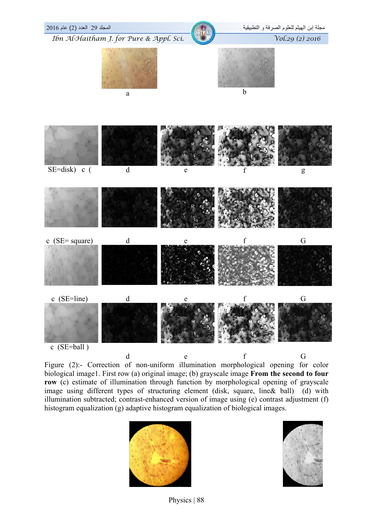

Figure (2):- Correction of non-uniform illumination morphological opening for color biological image1. First row (a) original image; (b) grayscale image **From the second to four row** (c) estimate of illumination through function by morphological opening of grayscale image using different types of structuring element (disk, square, line& ball) (d) with illumination subtracted; contrast-enhanced version of image using (e) contrast adjustment (f) histogram equalization (g) adaptive histogram equalization of biological images.



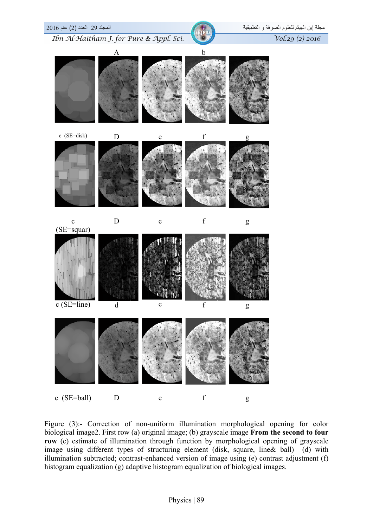

Figure (3):- Correction of non-uniform illumination morphological opening for color biological image2. First row (a) original image; (b) grayscale image **From the second to four row** (c) estimate of illumination through function by morphological opening of grayscale image using different types of structuring element (disk, square, line& ball) (d) with illumination subtracted; contrast-enhanced version of image using (e) contrast adjustment (f) histogram equalization (g) adaptive histogram equalization of biological images.